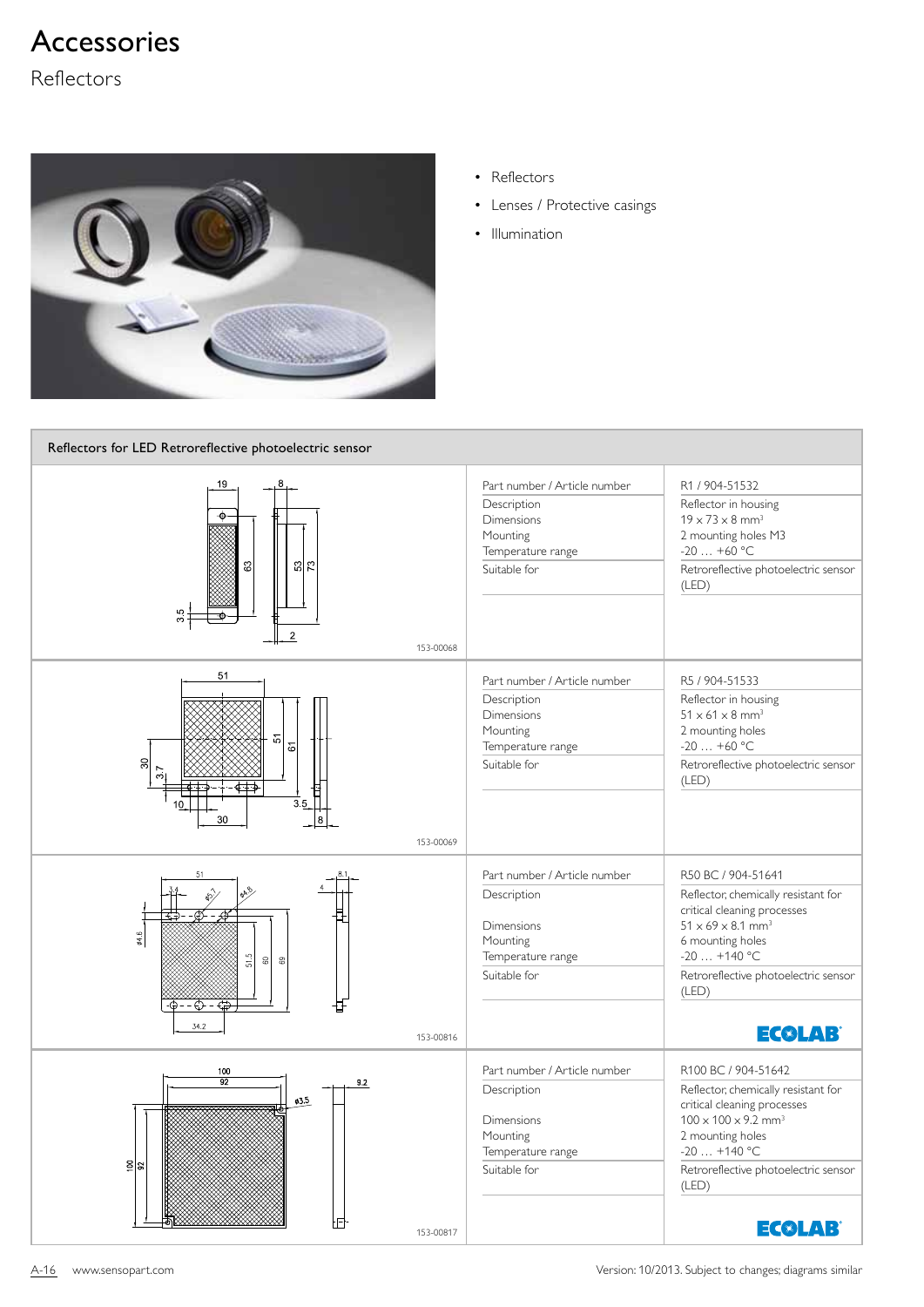Reflectors



- Reflectors
- Lenses / Protective casings
- Illumination

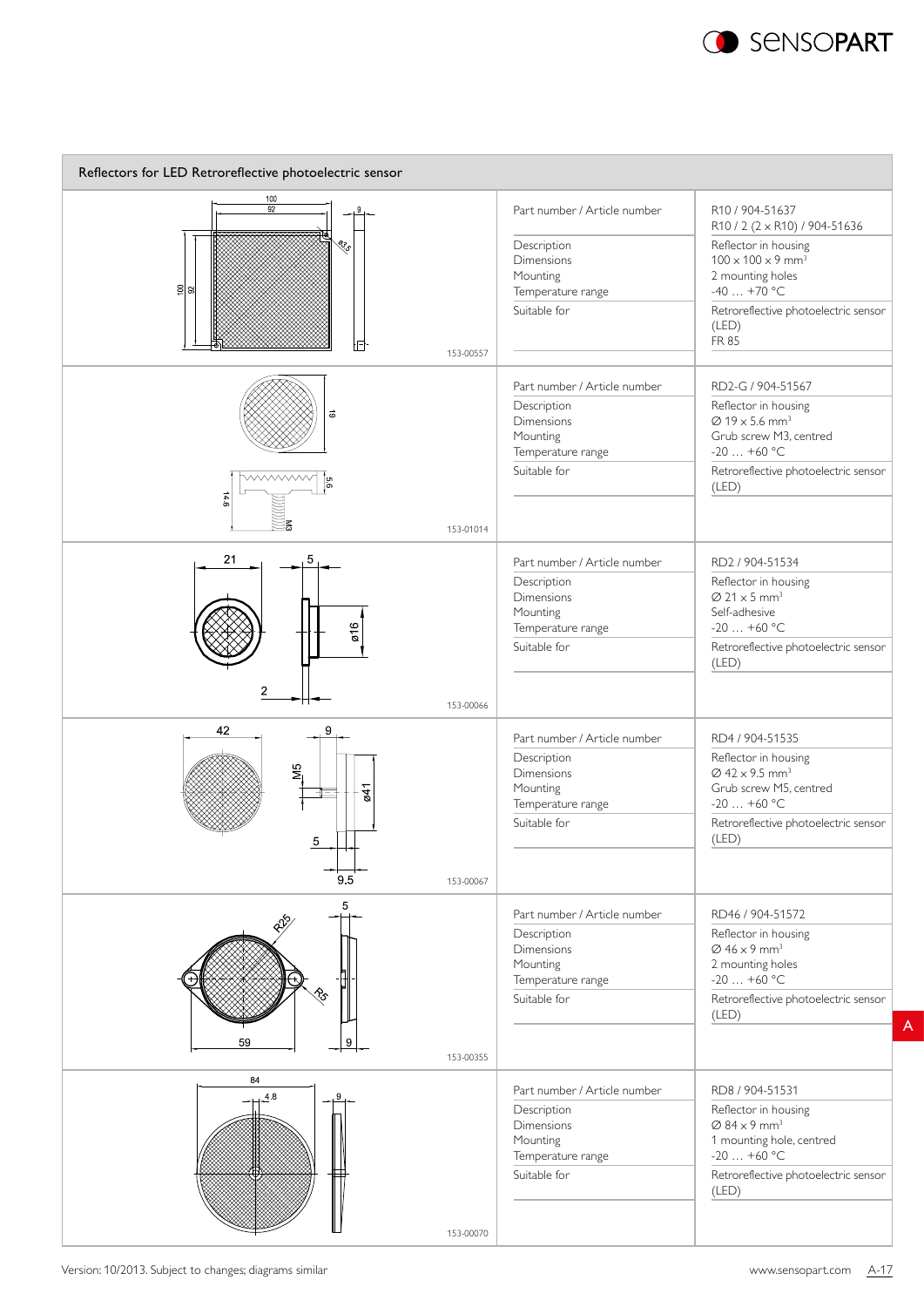

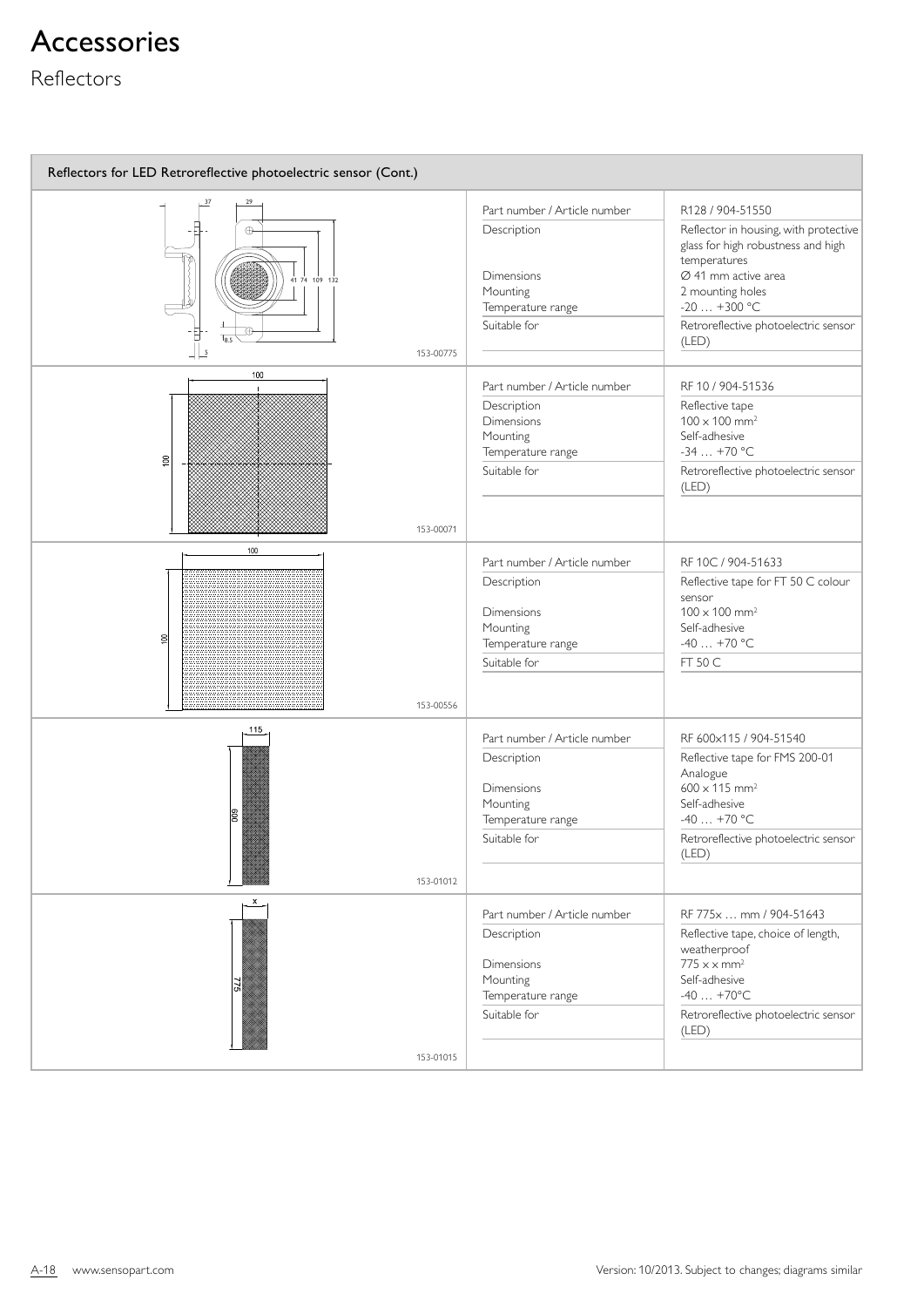### Reflectors

| Reflectors for LED Retroreflective photoelectric sensor (Cont.)         |                                                                                                                   |                                                                                                                                                                                                                        |  |
|-------------------------------------------------------------------------|-------------------------------------------------------------------------------------------------------------------|------------------------------------------------------------------------------------------------------------------------------------------------------------------------------------------------------------------------|--|
| 29                                                                      | Part number / Article number                                                                                      | R128 / 904-51550                                                                                                                                                                                                       |  |
| $\oplus$<br>41 74 109 132<br>$T_{\rm g}$<br>$  \mathsf{L}$<br>153-00775 | Description<br><b>Dimensions</b><br>Mounting<br>Temperature range<br>Suitable for                                 | Reflector in housing, with protective<br>glass for high robustness and high<br>temperatures<br>$\varnothing$ 41 mm active area<br>2 mounting holes<br>$-20$ $+300$ °C<br>Retroreflective photoelectric sensor<br>(LED) |  |
| 100                                                                     |                                                                                                                   |                                                                                                                                                                                                                        |  |
| $\approx$<br>153-00071                                                  | Part number / Article number<br>Description<br><b>Dimensions</b><br>Mounting<br>Temperature range<br>Suitable for | RF 10 / 904-51536<br>Reflective tape<br>$100 \times 100$ mm <sup>2</sup><br>Self-adhesive<br>$-34+70$ °C<br>Retroreflective photoelectric sensor<br>(LED)                                                              |  |
| 100                                                                     | Part number / Article number                                                                                      | RF 10C / 904-51633                                                                                                                                                                                                     |  |
| $\Xi$<br>153-00556                                                      | Description<br><b>Dimensions</b><br>Mounting<br>Temperature range<br>Suitable for                                 | Reflective tape for FT 50 C colour<br>sensor<br>$100 \times 100$ mm <sup>2</sup><br>Self-adhesive<br>$-40+70$ °C<br>FT 50 C                                                                                            |  |
| 115                                                                     | Part number / Article number                                                                                      | RF 600x115 / 904-51540                                                                                                                                                                                                 |  |
| $\overline{8}$                                                          | Description<br><b>Dimensions</b><br>Mounting<br>Temperature range<br>Suitable for                                 | Reflective tape for FMS 200-01<br>Analogue<br>$600 \times 115$ mm <sup>2</sup><br>Self-adhesive<br>$-40+70$ °C<br>Retroreflective photoelectric sensor<br>(LED)                                                        |  |
| 153-01012                                                               |                                                                                                                   |                                                                                                                                                                                                                        |  |
| $\mathsf{x}$<br>눼                                                       | Part number / Article number<br>Description<br><b>Dimensions</b><br>Mounting<br>Temperature range<br>Suitable for | RF 775x  mm / 904-51643<br>Reflective tape, choice of length,<br>weatherproof<br>$775 \times x$ mm <sup>2</sup><br>Self-adhesive<br>$-40+70$ °C<br>Retroreflective photoelectric sensor<br>(LED)                       |  |
| 153-01015                                                               |                                                                                                                   |                                                                                                                                                                                                                        |  |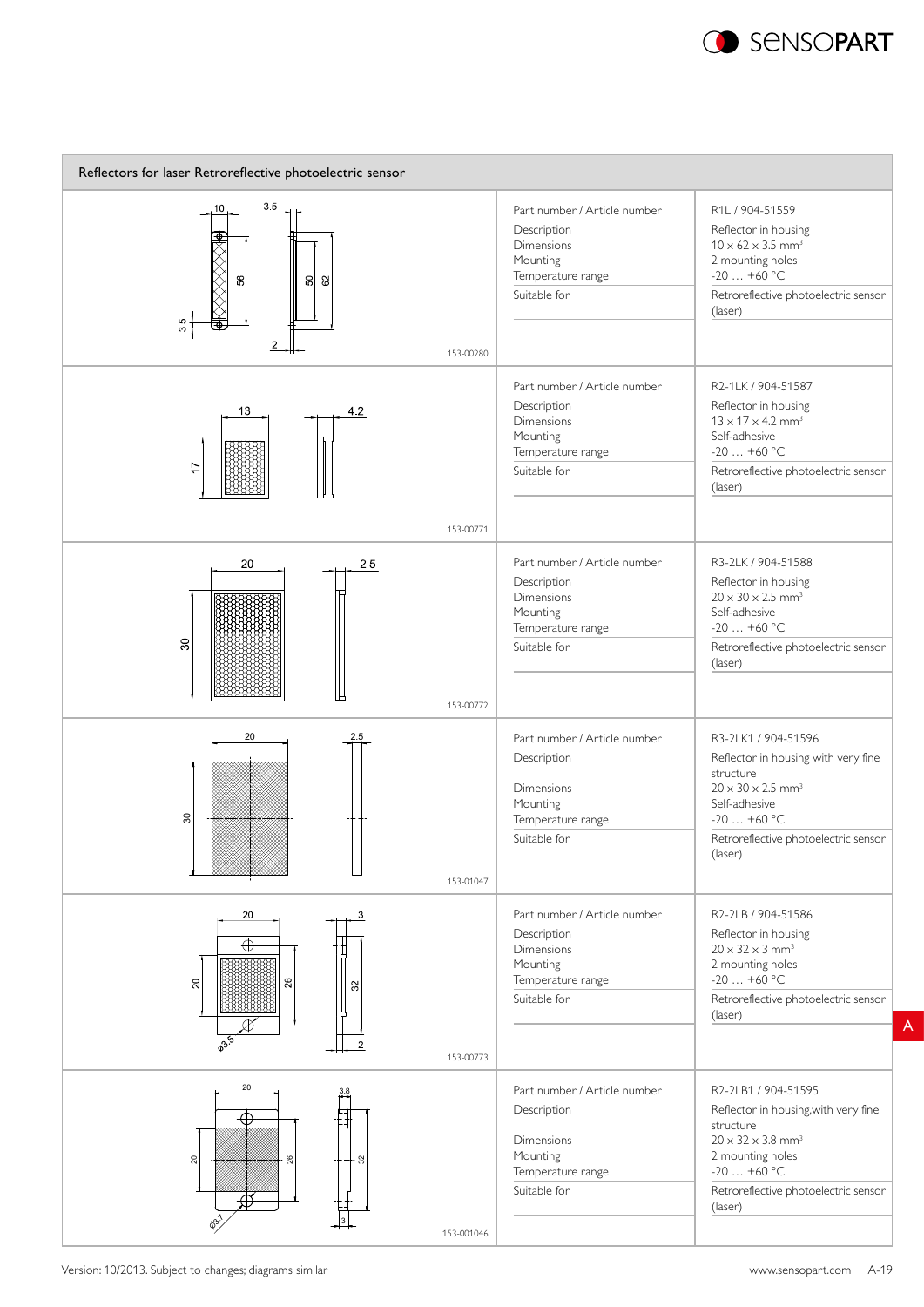

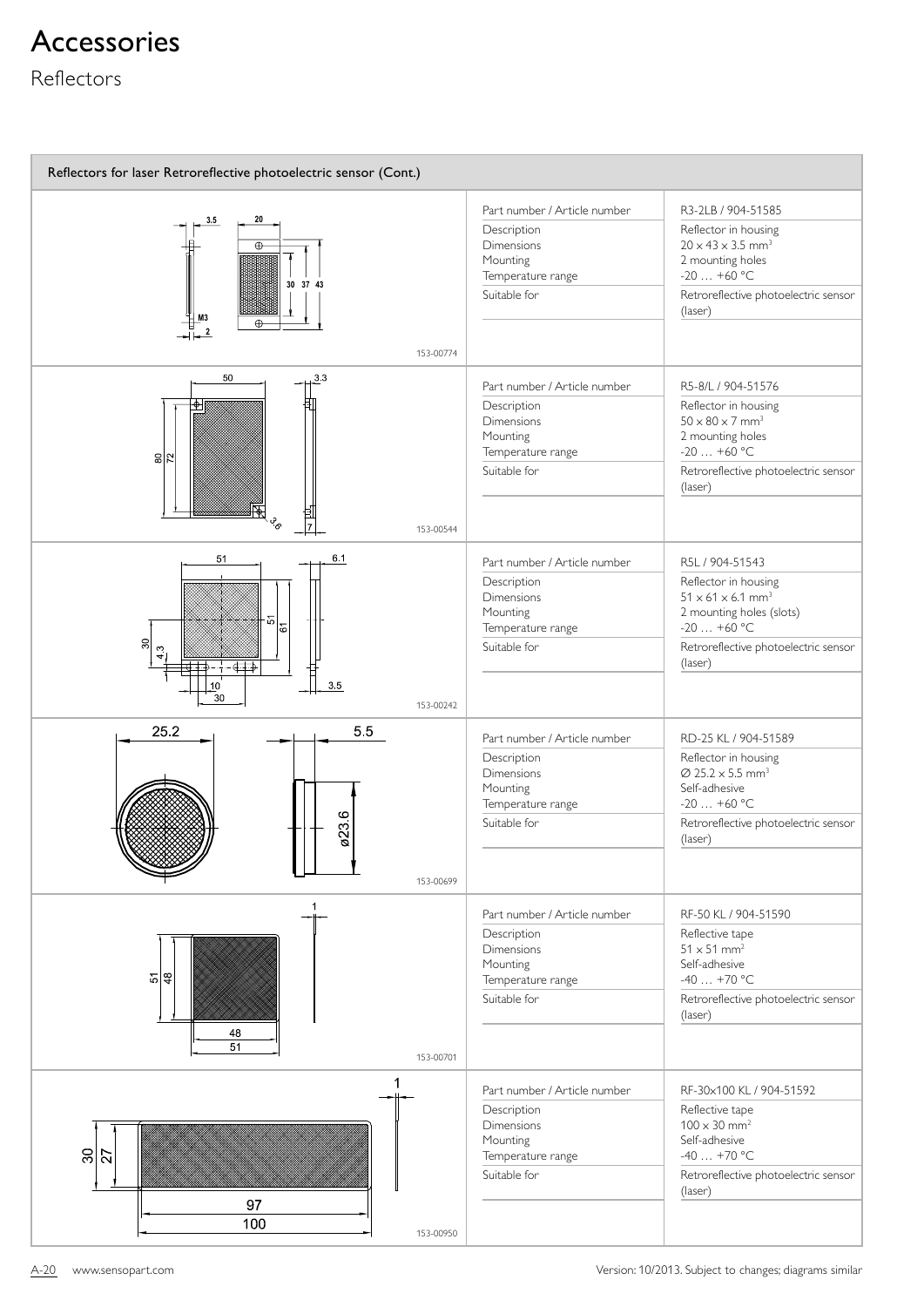#### Reflectors

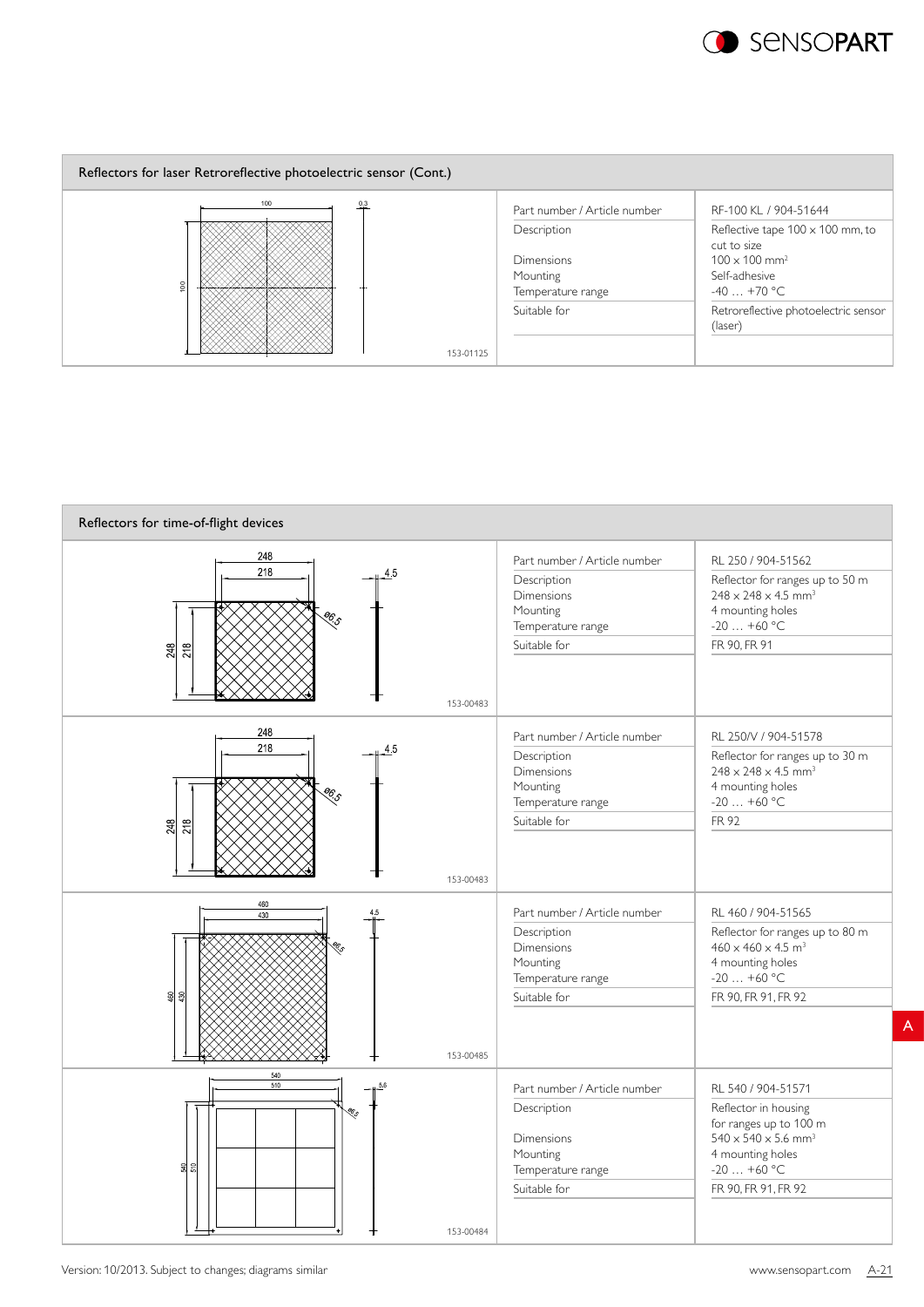